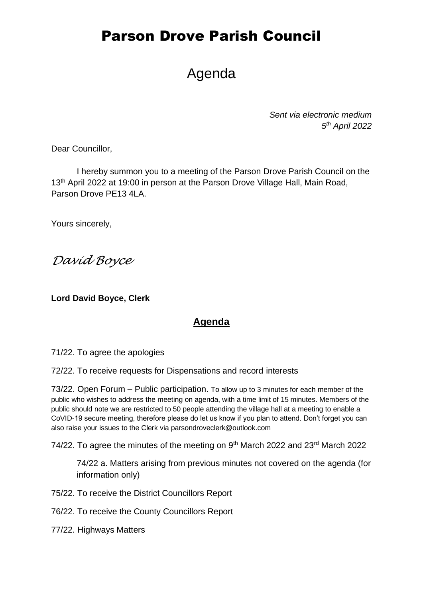# Agenda

*Sent via electronic medium 5 th April 2022*

Dear Councillor,

I hereby summon you to a meeting of the Parson Drove Parish Council on the 13<sup>th</sup> April 2022 at 19:00 in person at the Parson Drove Village Hall, Main Road, Parson Drove PE13 4LA.

Yours sincerely,

*David Boyce*

**Lord David Boyce, Clerk**

#### **Agenda**

71/22. To agree the apologies

72/22. To receive requests for Dispensations and record interests

73/22. Open Forum – Public participation. To allow up to 3 minutes for each member of the public who wishes to address the meeting on agenda, with a time limit of 15 minutes. Members of the public should note we are restricted to 50 people attending the village hall at a meeting to enable a CoVID-19 secure meeting, therefore please do let us know if you plan to attend. Don't forget you can also raise your issues to the Clerk via parsondroveclerk@outlook.com

74/22. To agree the minutes of the meeting on 9<sup>th</sup> March 2022 and 23<sup>rd</sup> March 2022

74/22 a. Matters arising from previous minutes not covered on the agenda (for information only)

75/22. To receive the District Councillors Report

76/22. To receive the County Councillors Report

77/22. Highways Matters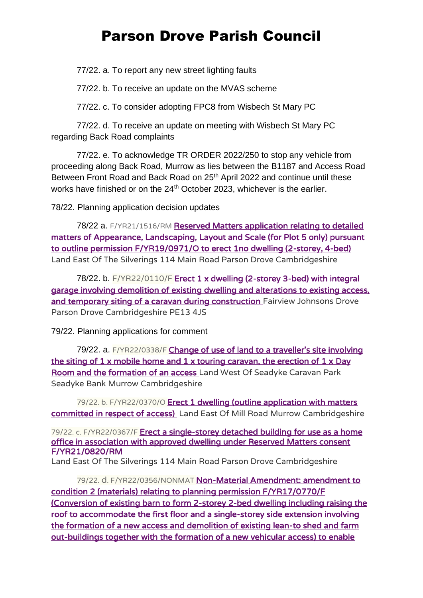77/22. a. To report any new street lighting faults

77/22. b. To receive an update on the MVAS scheme

77/22. c. To consider adopting FPC8 from Wisbech St Mary PC

77/22. d. To receive an update on meeting with Wisbech St Mary PC regarding Back Road complaints

77/22. e. To acknowledge TR ORDER 2022/250 to stop any vehicle from proceeding along Back Road, Murrow as lies between the B1187 and Access Road Between Front Road and Back Road on 25<sup>th</sup> April 2022 and continue until these works have finished or on the 24<sup>th</sup> October 2023, whichever is the earlier.

78/22. Planning application decision updates

78/22 a. F/YR21/1516/RM Reserved Matters application relating to detailed [matters of Appearance, Landscaping, Layout and Scale \(for Plot 5 only\) pursuant](https://www.publicaccess.fenland.gov.uk/publicaccess/applicationDetails.do?keyVal=R4GMD3HE0D800&activeTab=summary)  [to outline permission F/YR19/0971/O to erect 1no dwelling \(2-storey, 4-bed\)](https://www.publicaccess.fenland.gov.uk/publicaccess/applicationDetails.do?keyVal=R4GMD3HE0D800&activeTab=summary)  Land East Of The Silverings 114 Main Road Parson Drove Cambridgeshire

78/22. b. F/YR22/0110/F Erect 1 x dwelling (2-storey 3-bed) with integral [garage involving demolition of existing dwelling and alterations to existing access,](https://www.publicaccess.fenland.gov.uk/publicaccess/applicationDetails.do?keyVal=R6FDKPHE03000&activeTab=summary)  [and temporary siting of a caravan during construction](https://www.publicaccess.fenland.gov.uk/publicaccess/applicationDetails.do?keyVal=R6FDKPHE03000&activeTab=summary) Fairview Johnsons Drove Parson Drove Cambridgeshire PE13 4JS

79/22. Planning applications for comment

79/22. a. F/YR22/0338/F [Change of use of land to a traveller's site involving](https://www.publicaccess.fenland.gov.uk/publicaccess/applicationDetails.do?keyVal=R8SFLCHE06P00&activeTab=summary)  the siting of  $1 \times$  mobile home and  $1 \times$  touring caravan, the erection of  $1 \times$  Day [Room and the formation of an access](https://www.publicaccess.fenland.gov.uk/publicaccess/applicationDetails.do?keyVal=R8SFLCHE06P00&activeTab=summary) Land West Of Seadyke Caravan Park Seadyke Bank Murrow Cambridgeshire

79/22. b. F/YR22/0370/O Erect 1 dwelling (outline application with matters [committed in respect of access\)](https://www.publicaccess.fenland.gov.uk/publicaccess/applicationDetails.do?keyVal=R8QUT4HE01U00&activeTab=summary) Land East Of Mill Road Murrow Cambridgeshire

79/22. c. F/YR22/0367/F [Erect a single-storey detached building for use as a home](https://www.publicaccess.fenland.gov.uk/publicaccess/applicationDetails.do?keyVal=R9D505HE0I900&activeTab=summary)  [office in association with approved dwelling under Reserved Matters consent](https://www.publicaccess.fenland.gov.uk/publicaccess/applicationDetails.do?keyVal=R9D505HE0I900&activeTab=summary)  [F/YR21/0820/RM](https://www.publicaccess.fenland.gov.uk/publicaccess/applicationDetails.do?keyVal=R9D505HE0I900&activeTab=summary) 

Land East Of The Silverings 114 Main Road Parson Drove Cambridgeshire

79/22. d. F/YR22/0356/NONMAT [Non-Material Amendment: amendment to](https://www.publicaccess.fenland.gov.uk/publicaccess/applicationDetails.do?keyVal=R9I1SRHE0D800&activeTab=summary)  [condition 2 \(materials\) relating to planning permission F/YR17/0770/F](https://www.publicaccess.fenland.gov.uk/publicaccess/applicationDetails.do?keyVal=R9I1SRHE0D800&activeTab=summary)  [\(Conversion of existing barn to form 2-storey 2-bed dwelling including raising the](https://www.publicaccess.fenland.gov.uk/publicaccess/applicationDetails.do?keyVal=R9I1SRHE0D800&activeTab=summary)  [roof to accommodate the first floor and a single-storey side extension involving](https://www.publicaccess.fenland.gov.uk/publicaccess/applicationDetails.do?keyVal=R9I1SRHE0D800&activeTab=summary)  [the formation of a new access and demolition of existing lean-to shed and farm](https://www.publicaccess.fenland.gov.uk/publicaccess/applicationDetails.do?keyVal=R9I1SRHE0D800&activeTab=summary)  [out-buildings together with the formation of a new vehicular access\) to enable](https://www.publicaccess.fenland.gov.uk/publicaccess/applicationDetails.do?keyVal=R9I1SRHE0D800&activeTab=summary)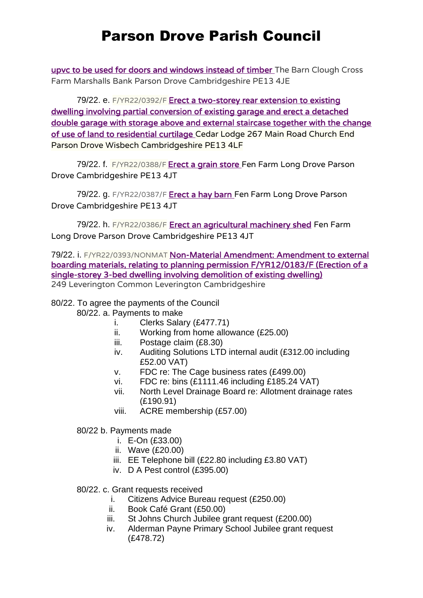[upvc to be used for doors and windows instead of timber](https://www.publicaccess.fenland.gov.uk/publicaccess/applicationDetails.do?keyVal=R9I1SRHE0D800&activeTab=summary) The Barn Clough Cross Farm Marshalls Bank Parson Drove Cambridgeshire PE13 4JE

79/22. e. F/YR22/0392/F Erect a two-storey rear extension to existing [dwelling involving partial conversion of existing garage and erect a detached](https://www.publicaccess.fenland.gov.uk/publicaccess/applicationDetails.do?keyVal=R8UNDYHE0I900&activeTab=summary)  [double garage with storage above and external staircase together with the change](https://www.publicaccess.fenland.gov.uk/publicaccess/applicationDetails.do?keyVal=R8UNDYHE0I900&activeTab=summary)  [of use of land to residential curtilage](https://www.publicaccess.fenland.gov.uk/publicaccess/applicationDetails.do?keyVal=R8UNDYHE0I900&activeTab=summary) Cedar Lodge 267 Main Road Church End Parson Drove Wisbech Cambridgeshire PE13 4LF

79/22. f. F/YR22/0388/F [Erect a grain store](https://www.publicaccess.fenland.gov.uk/publicaccess/applicationDetails.do?keyVal=R9LUL9HE06P00&activeTab=summary) Fen Farm Long Drove Parson Drove Cambridgeshire PE13 4JT

79/22. g. F/YR22/0387/F [Erect a hay barn](https://www.publicaccess.fenland.gov.uk/publicaccess/applicationDetails.do?keyVal=R9LUCMHE06P00&activeTab=summary) Fen Farm Long Drove Parson Drove Cambridgeshire PE13 4JT

79/22. h. F/YR22/0386/F [Erect an agricultural machinery shed](https://www.publicaccess.fenland.gov.uk/publicaccess/applicationDetails.do?keyVal=R9LSH4HE06P00&activeTab=summary) Fen Farm Long Drove Parson Drove Cambridgeshire PE13 4JT

79/22. i. F/YR22/0393/NONMAT [Non-Material Amendment: Amendment to external](https://www.publicaccess.fenland.gov.uk/publicaccess/applicationDetails.do?keyVal=R9TUHZHE06P00&activeTab=summary)  [boarding materials, relating to planning permission F/YR12/0183/F \(Erection of a](https://www.publicaccess.fenland.gov.uk/publicaccess/applicationDetails.do?keyVal=R9TUHZHE06P00&activeTab=summary)  [single-storey 3-bed dwelling involving demolition of existing dwelling\)](https://www.publicaccess.fenland.gov.uk/publicaccess/applicationDetails.do?keyVal=R9TUHZHE06P00&activeTab=summary)  249 Leverington Common Leverington Cambridgeshire

#### 80/22. To agree the payments of the Council

- 80/22. a. Payments to make
	- i. Clerks Salary (£477.71)
	- ii. Working from home allowance (£25.00)
	- iii. Postage claim (£8.30)
	- iv. Auditing Solutions LTD internal audit (£312.00 including £52.00 VAT)
	- v. FDC re: The Cage business rates (£499.00)
	- vi. FDC re: bins (£1111.46 including £185.24 VAT)
	- vii. North Level Drainage Board re: Allotment drainage rates (£190.91)
	- viii. ACRE membership (£57.00)

80/22 b. Payments made

- i. E-On (£33.00)
- ii. Wave (£20.00)
- iii. EE Telephone bill (£22.80 including £3.80 VAT)
- iv. D A Pest control (£395.00)

#### 80/22. c. Grant requests received

- i. Citizens Advice Bureau request (£250.00)
- ii. Book Café Grant (£50.00)
- iii. St Johns Church Jubilee grant request (£200.00)
- iv. Alderman Payne Primary School Jubilee grant request (£478.72)